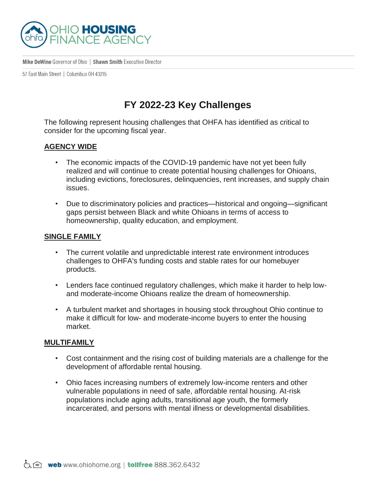

Mike DeWine Governor of Ohio | Shawn Smith Executive Director

57 East Main Street | Columbus 0H 43215

## **FY 2022-23 Key Challenges**

The following represent housing challenges that OHFA has identified as critical to consider for the upcoming fiscal year.

## **AGENCY WIDE**

- The economic impacts of the COVID-19 pandemic have not yet been fully realized and will continue to create potential housing challenges for Ohioans, including evictions, foreclosures, delinquencies, rent increases, and supply chain issues.
- Due to discriminatory policies and practices—historical and ongoing—significant gaps persist between Black and white Ohioans in terms of access to homeownership, quality education, and employment.

## **SINGLE FAMILY**

- The current volatile and unpredictable interest rate environment introduces challenges to OHFA's funding costs and stable rates for our homebuyer products.
- Lenders face continued regulatory challenges, which make it harder to help lowand moderate-income Ohioans realize the dream of homeownership.
- A turbulent market and shortages in housing stock throughout Ohio continue to make it difficult for low- and moderate-income buyers to enter the housing market.

## **MULTIFAMILY**

- Cost containment and the rising cost of building materials are a challenge for the development of affordable rental housing.
- Ohio faces increasing numbers of extremely low-income renters and other vulnerable populations in need of safe, affordable rental housing. At-risk populations include aging adults, transitional age youth, the formerly incarcerated, and persons with mental illness or developmental disabilities.